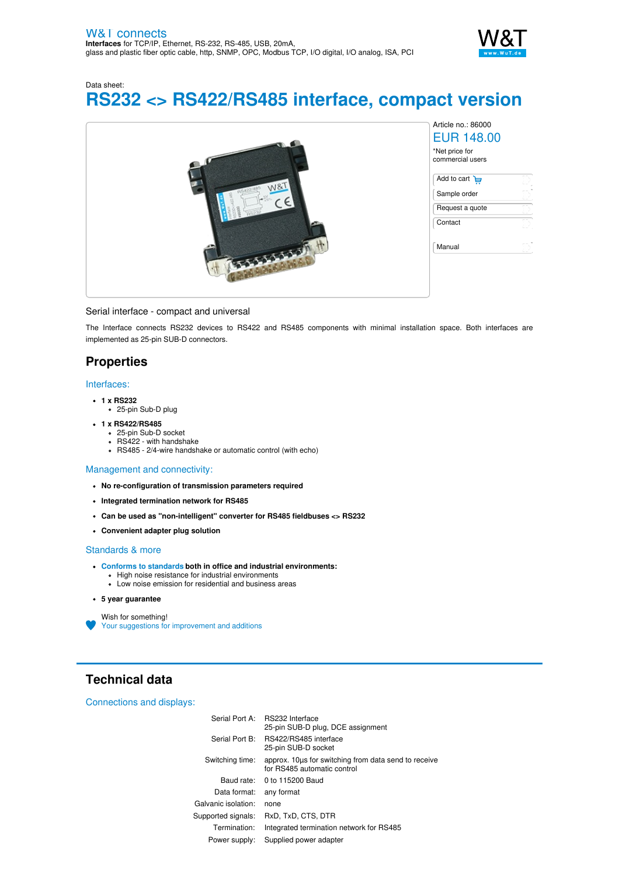

Data sheet: **RS232 <> RS422/RS485 interface, compact version**



### Serial interface - compact and universal

The Interface connects RS232 devices to RS422 and RS485 components with minimal installation space. Both interfaces are implemented as 25-pin SUB-D connectors.

## **Properties**

#### Interfaces:

- **1 x RS232**
	- 25-pin Sub-D plug
- **1 x RS422/RS485**
	- 25-pin Sub-D socket
	- RS422 with handshake
	- RS485 2/4-wire handshake or automatic control (with echo)

### Management and connectivity:

- **No re-configuration of transmission parameters required**
- **Integrated termination network for RS485**
- **Can be used as "non-intelligent" converter for RS485 fieldbuses <> RS232**
- **Convenient adapter plug solution**

### Standards & more

- **Conforms to [standards](https://www.wut.de/download/ce/e-86000-10-rdus-000.pdf) both in office and industrial environments:** High noise resistance for industrial environments
	- Low noise emission for residential and business areas
- **5 year guarantee**

Wish for something! Your suggestions for [improvement](https://www.wut.de/e-wwwww-ws-orus-000.php?ArticleNr=86000) and additions

# **Technical data**

### Connections and displays:

|                     | Serial Port A: RS232 Interface<br>25-pin SUB-D plug, DCE assignment                 |
|---------------------|-------------------------------------------------------------------------------------|
|                     | Serial Port B: RS422/RS485 interface<br>25-pin SUB-D socket                         |
| Switching time:     | approx. 10us for switching from data send to receive<br>for RS485 automatic control |
|                     | Baud rate: 0 to 115200 Baud                                                         |
| Data format:        | any format                                                                          |
| Galvanic isolation: | none                                                                                |
| Supported signals:  | RxD, TxD, CTS, DTR                                                                  |
| Termination:        | Integrated termination network for RS485                                            |
| Power supply:       | Supplied power adapter                                                              |
|                     |                                                                                     |